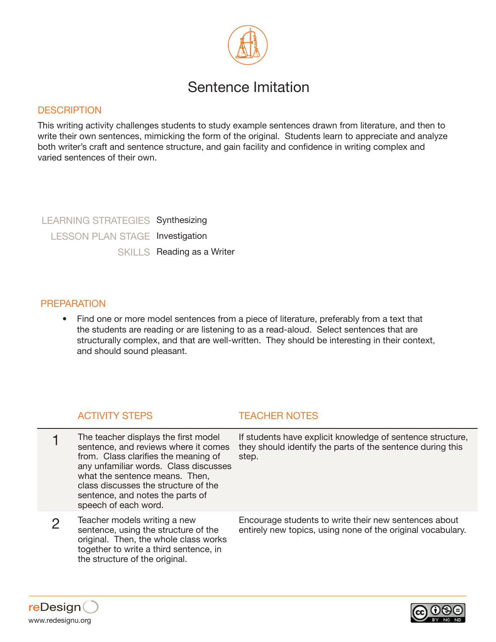

# Sentence Imitation

### **DESCRIPTION**

This writing activity challenges students to study example sentences drawn from literature, and then to write their own sentences, mimicking the form of the original. Students learn to appreciate and analyze both writer's craft and sentence structure, and gain facility and confidence in writing complex and varied sentences of their own.

LEARNING STRATEGIES Synthesizing LESSON PLAN STAGE Investigation SKILLS Reading as a Writer

### PREPARATION

• Find one or more model sentences from a piece of literature, preferably from a text that the students are reading or are listening to as a read-aloud. Select sentences that are structurally complex, and that are well-written. They should be interesting in their context, and should sound pleasant.

### ACTIVITY STEPS TEACHER NOTES

- 1 The teacher displays the first model sentence, and reviews where it comes from. Class clarifies the meaning of any unfamiliar words. Class discusses what the sentence means. Then, class discusses the structure of the sentence, and notes the parts of speech of each word.
- 2 Teacher models writing a new sentence, using the structure of the original. Then, the whole class works together to write a third sentence, in the structure of the original.

If students have explicit knowledge of sentence structure, they should identify the parts of the sentence during this step.

Encourage students to write their new sentences about entirely new topics, using none of the original vocabulary.